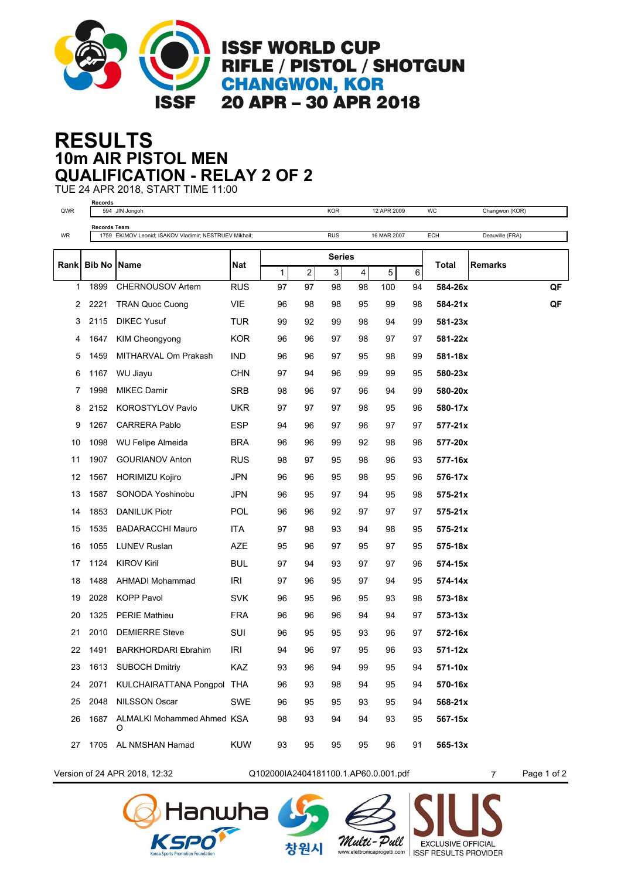

## **10m AIR PISTOL MEN RESULTS QUALIFICATION - RELAY 2 OF 2**

TUE 24 APR 2018, START TIME 11:00 **Records**

| QWR  |                      | 594 JIN Jongoh                                         |            |            |    | <b>KOR</b> |    | 12 APR 2009 |            | WC           | Changwon (KOR)  |    |
|------|----------------------|--------------------------------------------------------|------------|------------|----|------------|----|-------------|------------|--------------|-----------------|----|
|      | Records Team         |                                                        |            | <b>RUS</b> |    |            |    |             | <b>ECH</b> |              |                 |    |
| WR   |                      | 1759 EKIMOV Leonid; ISAKOV Vladimir; NESTRUEV Mikhail; |            |            |    |            |    | 16 MAR 2007 |            |              | Deauville (FRA) |    |
| Rank | <b>Bib No   Name</b> |                                                        | <b>Nat</b> |            |    | Series     |    |             |            | <b>Total</b> | <b>Remarks</b>  |    |
|      |                      |                                                        |            | 1          | 2  | 3          | 4  | 5           | 6          |              |                 |    |
| 1    | 1899                 | CHERNOUSOV Artem                                       | <b>RUS</b> | 97         | 97 | 98         | 98 | 100         | 94         | 584-26x      |                 | QF |
| 2    | 2221                 | <b>TRAN Quoc Cuong</b>                                 | <b>VIE</b> | 96         | 98 | 98         | 95 | 99          | 98         | 584-21x      |                 | QF |
| 3    | 2115                 | <b>DIKEC Yusuf</b>                                     | <b>TUR</b> | 99         | 92 | 99         | 98 | 94          | 99         | 581-23x      |                 |    |
| 4    | 1647                 | KIM Cheongyong                                         | <b>KOR</b> | 96         | 96 | 97         | 98 | 97          | 97         | 581-22x      |                 |    |
| 5    | 1459                 | MITHARVAL Om Prakash                                   | <b>IND</b> | 96         | 96 | 97         | 95 | 98          | 99         | 581-18x      |                 |    |
| 6    | 1167                 | WU Jiayu                                               | <b>CHN</b> | 97         | 94 | 96         | 99 | 99          | 95         | 580-23x      |                 |    |
| 7    | 1998                 | <b>MIKEC Damir</b>                                     | <b>SRB</b> | 98         | 96 | 97         | 96 | 94          | 99         | 580-20x      |                 |    |
| 8    | 2152                 | <b>KOROSTYLOV Pavlo</b>                                | <b>UKR</b> | 97         | 97 | 97         | 98 | 95          | 96         | 580-17x      |                 |    |
| 9    | 1267                 | <b>CARRERA Pablo</b>                                   | <b>ESP</b> | 94         | 96 | 97         | 96 | 97          | 97         | 577-21x      |                 |    |
| 10   | 1098                 | WU Felipe Almeida                                      | BRA        | 96         | 96 | 99         | 92 | 98          | 96         | 577-20x      |                 |    |
| 11   | 1907                 | <b>GOURIANOV Anton</b>                                 | <b>RUS</b> | 98         | 97 | 95         | 98 | 96          | 93         | 577-16x      |                 |    |
| 12   | 1567                 | <b>HORIMIZU Kojiro</b>                                 | JPN        | 96         | 96 | 95         | 98 | 95          | 96         | 576-17x      |                 |    |
| 13   | 1587                 | SONODA Yoshinobu                                       | <b>JPN</b> | 96         | 95 | 97         | 94 | 95          | 98         | 575-21x      |                 |    |
| 14   | 1853                 | <b>DANILUK Piotr</b>                                   | POL        | 96         | 96 | 92         | 97 | 97          | 97         | $575 - 21x$  |                 |    |
| 15   | 1535                 | <b>BADARACCHI Mauro</b>                                | <b>ITA</b> | 97         | 98 | 93         | 94 | 98          | 95         | 575-21x      |                 |    |
| 16   | 1055                 | <b>LUNEV Ruslan</b>                                    | AZE        | 95         | 96 | 97         | 95 | 97          | 95         | 575-18x      |                 |    |
| 17   | 1124                 | <b>KIROV Kiril</b>                                     | BUL        | 97         | 94 | 93         | 97 | 97          | 96         | 574-15x      |                 |    |
| 18   | 1488                 | AHMADI Mohammad                                        | <b>IRI</b> | 97         | 96 | 95         | 97 | 94          | 95         | 574-14x      |                 |    |
| 19   | 2028                 | <b>KOPP Pavol</b>                                      | SVK        | 96         | 95 | 96         | 95 | 93          | 98         | 573-18x      |                 |    |
| 20   | 1325                 | <b>PERIE Mathieu</b>                                   | <b>FRA</b> | 96         | 96 | 96         | 94 | 94          | 97         | 573-13x      |                 |    |
| 21   | 2010                 | <b>DEMIERRE Steve</b>                                  | SUI        | 96         | 95 | 95         | 93 | 96          | 97         | 572-16x      |                 |    |
| 22   | 1491                 | <b>BARKHORDARI Ebrahim</b>                             | IRI        | 94         | 96 | 97         | 95 | 96          | 93         | 571-12x      |                 |    |
| 23   | 1613                 | <b>SUBOCH Dmitriy</b>                                  | KAZ        | 93         | 96 | 94         | 99 | 95          | 94         | 571-10x      |                 |    |
| 24   | 2071                 | KULCHAIRATTANA Pongpol THA                             |            | 96         | 93 | 98         | 94 | 95          | 94         | 570-16x      |                 |    |
| 25   | 2048                 | <b>NILSSON Oscar</b>                                   | <b>SWE</b> | 96         | 95 | 95         | 93 | 95          | 94         | 568-21x      |                 |    |
| 26   | 1687                 | ALMALKI Mohammed Ahmed KSA<br>O                        |            | 98         | 93 | 94         | 94 | 93          | 95         | 567-15x      |                 |    |
| 27   |                      | 1705 AL NMSHAN Hamad                                   | <b>KUW</b> | 93         | 95 | 95         | 95 | 96          | 91         | 565-13x      |                 |    |



Version of 24 APR 2018, 12:32 Q102000IA2404181100.1.AP60.0.001.pdf 7 Page 1 of 2